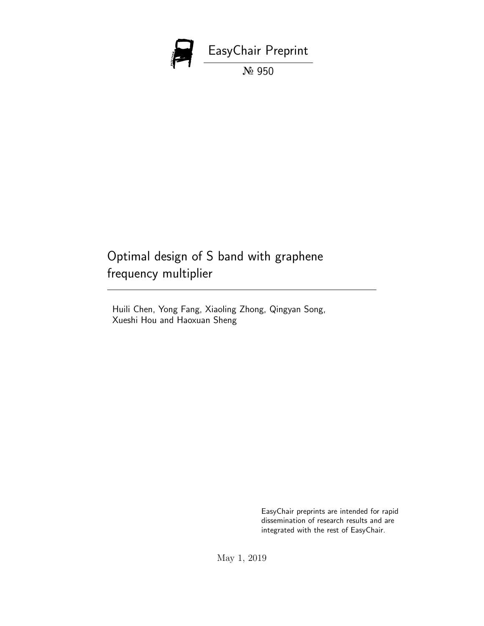

# Optimal design of S band with graphene frequency multiplier

Huili Chen, Yong Fang, Xiaoling Zhong, Qingyan Song, Xueshi Hou and Haoxuan Sheng

> EasyChair preprints are intended for rapid dissemination of research results and are integrated with the rest of EasyChair.

May 1, 2019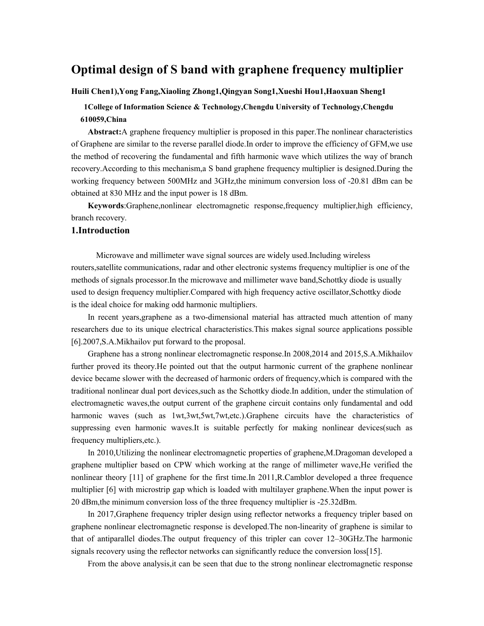# **Optimal design of S band with graphene frequency multiplier**

#### **Huili Chen1),Yong Fang,Xiaoling Zhong1,Qingyan Song1,Xueshi Hou1,Haoxuan Sheng1**

## **1College of Information Science & Technology,Chengdu University of Technology,Chengdu 610059,China**

**Abstract:**A graphene frequency multiplier is proposed in this paper.The nonlinear characteristics of Graphene are similar to the reverse parallel diode.In order to improve the efficiency of GFM,we use the method of recovering the fundamental and fifth harmonic wave which utilizes the way of branch recovery.According to this mechanism,a S band graphene frequency multiplier is designed.During the working frequency between 500MHz and 3GHz,the minimum conversion loss of -20.81 dBm can be obtained at 830 MHz and the input power is 18 dBm.

**Keywords**:Graphene,nonlinear electromagnetic response,frequency multiplier,high efficiency, branch recovery.

#### **1.Introduction**

Microwave and millimeter wave signal sources are widely used.Including wireless routers,satellite communications, radar and other electronic systems frequency multiplier is one of the methods of signals processor.In the microwave and millimeter wave band,Schottky diode is usually used to design frequency multiplier.Compared with high frequency active oscillator,Schottky diode is the ideal choice for making odd harmonic multipliers.

In recent years,graphene as a two-dimensional material has attracted much attention of many researchers due to its unique electrical characteristics.This makes signal source applications possible [6].2007,S.A.Mikhailov put forward to the proposal.

Graphene has a strong nonlinear electromagnetic response.In 2008,2014 and 2015,S.A.Mikhailov further proved its theory.He pointed out that the output harmonic current of the graphene nonlinear device became slower with the decreased of harmonic orders of frequency,which is compared with the traditional nonlinear dual port devices,such as the Schottky diode.In addition, under the stimulation of electromagnetic waves,the output current of the graphene circuit contains only fundamental and odd harmonic waves (such as  $1wt,3wt,5wt,7wt,etc.$ ).Graphene circuits have the characteristics of suppressing even harmonic waves.It is suitable perfectly for making nonlinear devices(such as frequency multipliers,etc.).

In 2010,Utilizing the nonlinear electromagnetic properties of graphene,M.Dragoman developed a graphene multiplier based on CPW which working at the range of millimeter wave,He verified the nonlinear theory [11] of graphene for the first time.In 2011,R.Camblor developed a three frequence multiplier [6] with microstrip gap which is loaded with multilayer graphene.When the input power is 20 dBm,the minimum conversion loss of the three frequency multiplier is -25.32dBm.

In 2017,Graphene frequency tripler design using reflector networks a frequency tripler based on graphene nonlinear electromagnetic response is developed.The non-linearity of graphene is similar to that of antiparallel diodes.The output frequency of this tripler can cover 12–30GHz.The harmonic signals recovery using the reflector networks can significantly reduce the conversion loss[15].

From the above analysis,it can be seen that due to the strong nonlinear electromagnetic response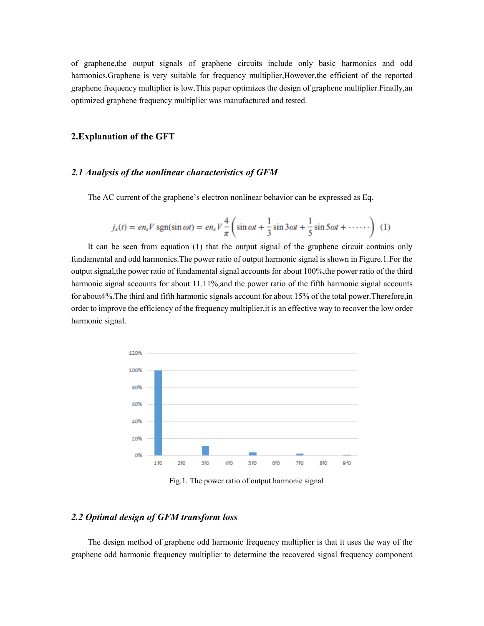of graphene,the output signals of graphene circuits include only basic harmonics and odd harmonics.Graphene is very suitable for frequency multiplier,However,the efficient of the reported graphene frequency multiplier is low.This paper optimizes the design of graphene multiplier.Finally,an optimized graphene frequency multiplier was manufactured and tested.

#### **2.Explanation of the GFT**

#### *2.1 Analysis of the nonlinear characteristics of GFM*

The AC current of the graphene's electron nonlinear behavior can be expressed as Eq.

$$
j_x(t) = en_s V \operatorname{sgn}(\sin \omega t) = en_s V \frac{4}{\pi} \left( \sin \omega t + \frac{1}{3} \sin 3\omega t + \frac{1}{5} \sin 5\omega t + \cdots \right) \tag{1}
$$

It can be seen from equation (1) that the output signal of the graphene circuit contains only fundamental and odd harmonics.The power ratio of output harmonic signal is shown in Figure.1.For the output signal,the power ratio of fundamental signal accounts for about 100%,the power ratio of the third harmonic signal accounts for about 11.11%,and the power ratio of the fifth harmonic signal accounts for about4%.The third and fifth harmonic signals account for about 15% of the total power.Therefore,in order to improve the efficiency of the frequency multiplier,it is an effective way to recover the low order harmonic signal.



Fig.1. The power ratio of output harmonic signal

#### *2.2 Optimal design of GFM transform loss*

The design method of graphene odd harmonic frequency multiplier is that it uses the way of the graphene odd harmonic frequency multiplier to determine the recovered signal frequency component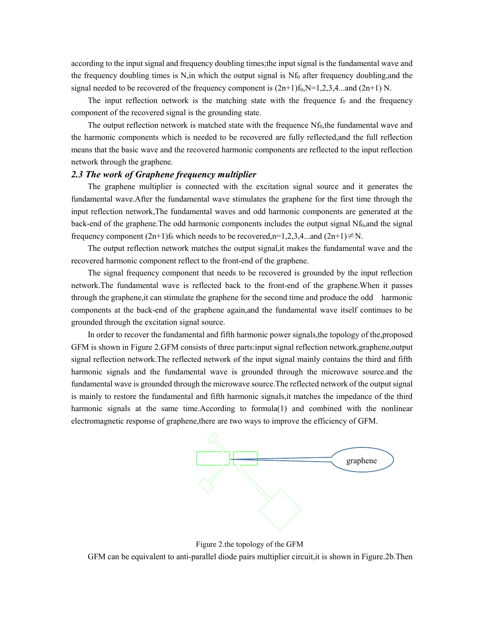according to the input signal and frequency doubling times;the input signal is the fundamental wave and the frequency doubling times is N,in which the output signal is  $Nf_0$  after frequency doubling, and the signal needed to be recovered of the frequency component is  $(2n+1)f_0$ , N=1,2,3,4...and  $(2n+1)$  N.

The input reflection network is the matching state with the frequence  $f_0$  and the frequency component of the recovered signal is the grounding state.

The output reflection network is matched state with the frequence  $Nf_0$ , the fundamental wave and the harmonic components which is needed to be recovered are fully reflected,and the full reflection means that the basic wave and the recovered harmonic components are reflected to the input reflection network through the graphene.

#### *2.3 The work of Graphene frequency multiplier*

The graphene multiplier is connected with the excitation signal source and it generates the fundamental wave.After the fundamental wave stimulates the graphene for the first time through the input reflection network,The fundamental waves and odd harmonic components are generated at the back-end of the graphene. The odd harmonic components includes the output signal  $Nf_0$ , and the signal frequency component  $(2n+1)f_0$  which needs to be recovered,n=1,2,3,4...and  $(2n+1)\neq N$ .

The output reflection network matches the output signal,it makes the fundamental wave and the recovered harmonic component reflect to the front-end of the graphene.

The signal frequency component that needs to be recovered is grounded by the input reflection network.The fundamental wave is reflected back to the front-end of the graphene.When it passes through the graphene,it can stimulate the graphene for the second time and produce the odd harmonic components at the back-end of the graphene again,and the fundamental wave itself continues to be grounded through the excitation signal source.

In order to recover the fundamental and fifth harmonic power signals,the topology of the,proposed GFM is shown in Figure 2.GFM consists of three parts:input signal reflection network,graphene,output signal reflection network.The reflected network of the input signal mainly contains the third and fifth harmonic signals and the fundamental wave is grounded through the microwave source.and the fundamental wave is grounded through the microwave source.The reflected network of the output signal is mainly to restore the fundamental and fifth harmonic signals,it matches the impedance of the third harmonic signals at the same time.According to formula(1) and combined with the nonlinear electromagnetic response of graphene,there are two ways to improve the efficiency of GFM.



Figure 2.the topology of the GFM GFM can be equivalent to anti-parallel diode pairs multiplier circuit,it is shown in Figure.2b.Then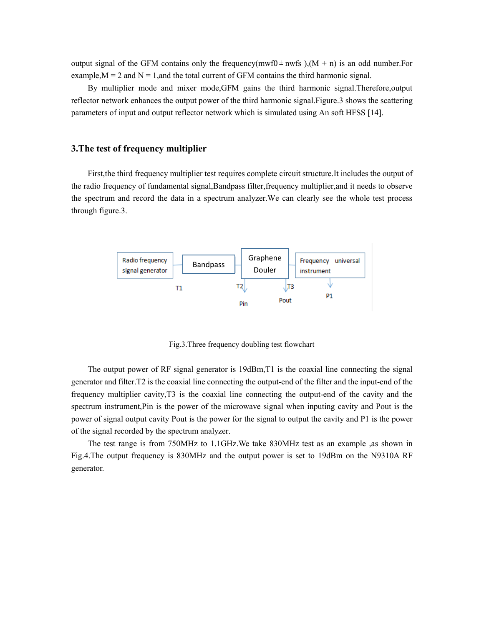output signal of the GFM contains only the frequency(mwf0 $\pm$ nwfs ),(M + n) is an odd number.For example,  $M = 2$  and  $N = 1$ , and the total current of GFM contains the third harmonic signal.

By multiplier mode and mixer mode,GFM gains the third harmonic signal.Therefore,output reflector network enhances the output power of the third harmonic signal.Figure.3 shows the scattering parameters of input and output reflector network which is simulated using An soft HFSS [14].

#### **3.The test of frequency multiplier**

First,the third frequency multiplier test requires complete circuit structure.It includes the output of the radio frequency of fundamental signal,Bandpass filter,frequency multiplier,and it needs to observe the spectrum and record the data in a spectrum analyzer.We can clearly see the whole test process through figure.3.



Fig.3.Three frequency doubling test flowchart

The output power of RF signal generator is 19dBm,T1 is the coaxial line connecting the signal generator and filter.T2 is the coaxial line connecting the output-end of the filter and the input-end of the frequency multiplier cavity,T3 is the coaxial line connecting the output-end of the cavity and the spectrum instrument,Pin is the power of the microwave signal when inputing cavity and Pout is the power of signal output cavity Pout is the power for the signal to output the cavity and P1 is the power of the signal recorded by the spectrum analyzer.

The test range is from 750MHz to 1.1GHz.We take 830MHz test as an example ,as shown in Fig.4.The output frequency is 830MHz and the output power is set to 19dBm on the N9310A RF generator.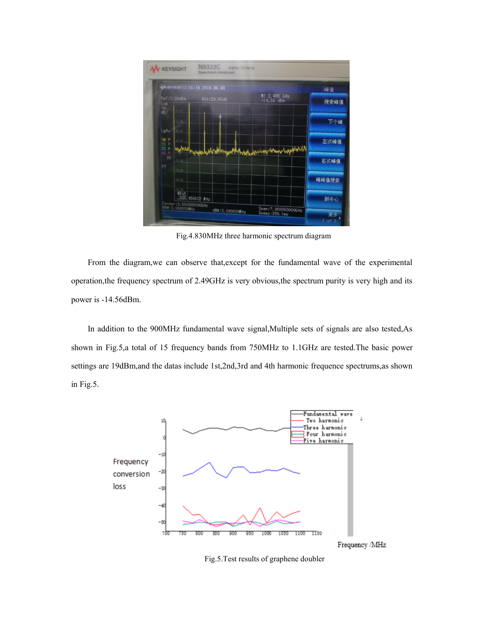

Fig.4.830MHz three harmonic spectrum diagram

From the diagram,we can observe that,except for the fundamental wave of the experimental operation,the frequency spectrum of 2.49GHz is very obvious,the spectrum purity is very high and its power is -14.56dBm.

In addition to the 900MHz fundamental wave signal,Multiple sets of signals are also tested,As shown in Fig.5,a total of 15 frequency bands from 750MHz to 1.1GHz are tested.The basic power settings are 19dBm,and the datas include 1st,2nd,3rd and 4th harmonic frequence spectrums,as shown in Fig.5.



Fig.5.Test results of graphene doubler